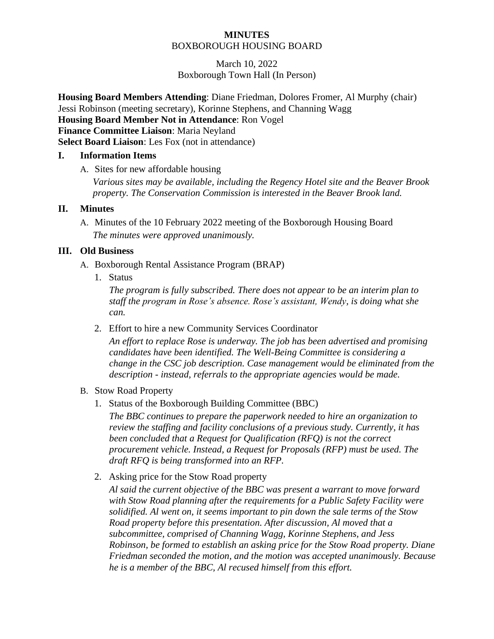#### **MINUTES** BOXBOROUGH HOUSING BOARD

March 10, 2022 Boxborough Town Hall (In Person)

**Housing Board Members Attending**: Diane Friedman, Dolores Fromer, Al Murphy (chair) Jessi Robinson (meeting secretary), Korinne Stephens, and Channing Wagg **Housing Board Member Not in Attendance**: Ron Vogel **Finance Committee Liaison**: Maria Neyland **Select Board Liaison**: Les Fox (not in attendance)

#### **I. Information Items**

A. Sites for new affordable housing

*Various sites may be available, including the Regency Hotel site and the Beaver Brook property. The Conservation Commission is interested in the Beaver Brook land.*

## **II. Minutes**

A. Minutes of the 10 February 2022 meeting of the Boxborough Housing Board *The minutes were approved unanimously.*

## **III. Old Business**

- A. Boxborough Rental Assistance Program (BRAP)
	- 1. Status

*The program is fully subscribed. There does not appear to be an interim plan to staff the program in Rose's absence. Rose's assistant, Wendy, is doing what she can.*

2. Effort to hire a new Community Services Coordinator

*An effort to replace Rose is underway. The job has been advertised and promising candidates have been identified. The Well-Being Committee is considering a change in the CSC job description. Case management would be eliminated from the description - instead, referrals to the appropriate agencies would be made.*

# B. Stow Road Property

1. Status of the Boxborough Building Committee (BBC)

*The BBC continues to prepare the paperwork needed to hire an organization to review the staffing and facility conclusions of a previous study. Currently, it has been concluded that a Request for Qualification (RFQ) is not the correct procurement vehicle. Instead, a Request for Proposals (RFP) must be used. The draft RFQ is being transformed into an RFP.*

2. Asking price for the Stow Road property

*Al said the current objective of the BBC was present a warrant to move forward with Stow Road planning after the requirements for a Public Safety Facility were solidified. Al went on, it seems important to pin down the sale terms of the Stow Road property before this presentation. After discussion, Al moved that a subcommittee, comprised of Channing Wagg, Korinne Stephens, and Jess Robinson, be formed to establish an asking price for the Stow Road property. Diane Friedman seconded the motion, and the motion was accepted unanimously. Because he is a member of the BBC, Al recused himself from this effort.*